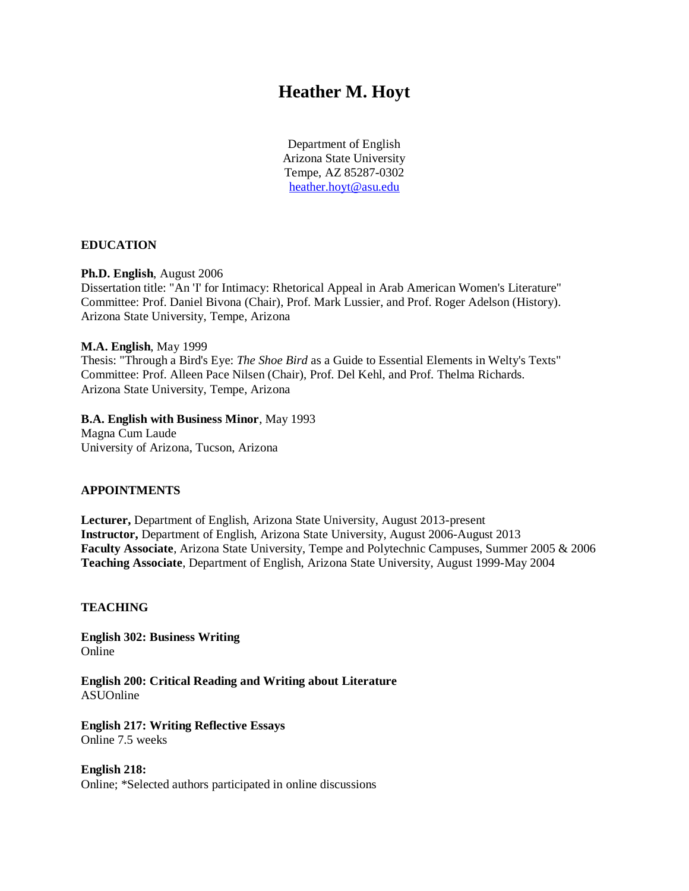# **Heather M. Hoyt**

Department of English Arizona State University Tempe, AZ 85287-0302 [heather.hoyt@asu.edu](mailto:heather.hoyt@asu.edu)

#### **EDUCATION**

#### **Ph.D. English**, August 2006

Dissertation title: "An 'I' for Intimacy: Rhetorical Appeal in Arab American Women's Literature" Committee: Prof. Daniel Bivona (Chair), Prof. Mark Lussier, and Prof. Roger Adelson (History). Arizona State University, Tempe, Arizona

#### **M.A. English**, May 1999

Thesis: "Through a Bird's Eye: *The Shoe Bird* as a Guide to Essential Elements in Welty's Texts" Committee: Prof. Alleen Pace Nilsen (Chair), Prof. Del Kehl, and Prof. Thelma Richards. Arizona State University, Tempe, Arizona

## **B.A. English with Business Minor**, May 1993

Magna Cum Laude University of Arizona, Tucson, Arizona

#### **APPOINTMENTS**

**Lecturer,** Department of English, Arizona State University, August 2013-present **Instructor,** Department of English, Arizona State University, August 2006-August 2013 **Faculty Associate**, Arizona State University, Tempe and Polytechnic Campuses, Summer 2005 & 2006 **Teaching Associate**, Department of English, Arizona State University, August 1999-May 2004

#### **TEACHING**

**English 302: Business Writing** Online

**English 200: Critical Reading and Writing about Literature** ASUOnline

**English 217: Writing Reflective Essays** Online 7.5 weeks

**English 218:**  Online; \*Selected authors participated in online discussions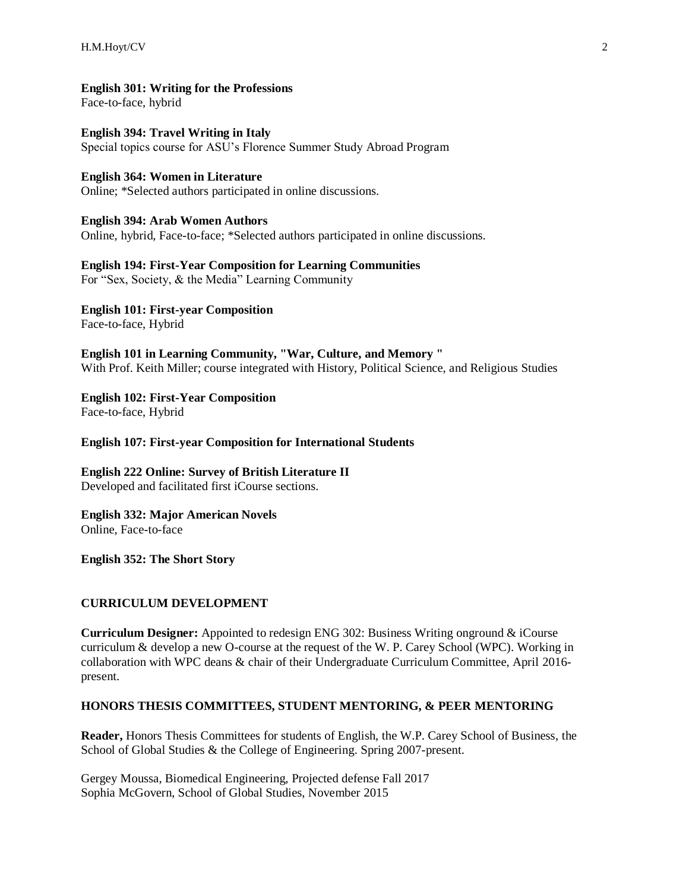**English 301: Writing for the Professions**

Face-to-face, hybrid

**English 394: Travel Writing in Italy** Special topics course for ASU's Florence Summer Study Abroad Program

#### **English 364: Women in Literature**

Online; \*Selected authors participated in online discussions.

**English 394: Arab Women Authors** Online, hybrid, Face-to-face; \*Selected authors participated in online discussions.

## **English 194: First-Year Composition for Learning Communities**

For "Sex, Society, & the Media" Learning Community

**English 101: First-year Composition** Face-to-face, Hybrid

**English 101 in Learning Community, "War, Culture, and Memory "**  With Prof. Keith Miller; course integrated with History, Political Science, and Religious Studies

**English 102: First-Year Composition** Face-to-face, Hybrid

**English 107: First-year Composition for International Students**

**English 222 Online: Survey of British Literature II**  Developed and facilitated first iCourse sections.

**English 332: Major American Novels** Online, Face-to-face

**English 352: The Short Story**

#### **CURRICULUM DEVELOPMENT**

**Curriculum Designer:** Appointed to redesign ENG 302: Business Writing onground & iCourse curriculum & develop a new O-course at the request of the W. P. Carey School (WPC). Working in collaboration with WPC deans & chair of their Undergraduate Curriculum Committee, April 2016 present.

#### **HONORS THESIS COMMITTEES, STUDENT MENTORING, & PEER MENTORING**

**Reader,** Honors Thesis Committees for students of English, the W.P. Carey School of Business, the School of Global Studies & the College of Engineering. Spring 2007-present.

Gergey Moussa, Biomedical Engineering, Projected defense Fall 2017 Sophia McGovern, School of Global Studies, November 2015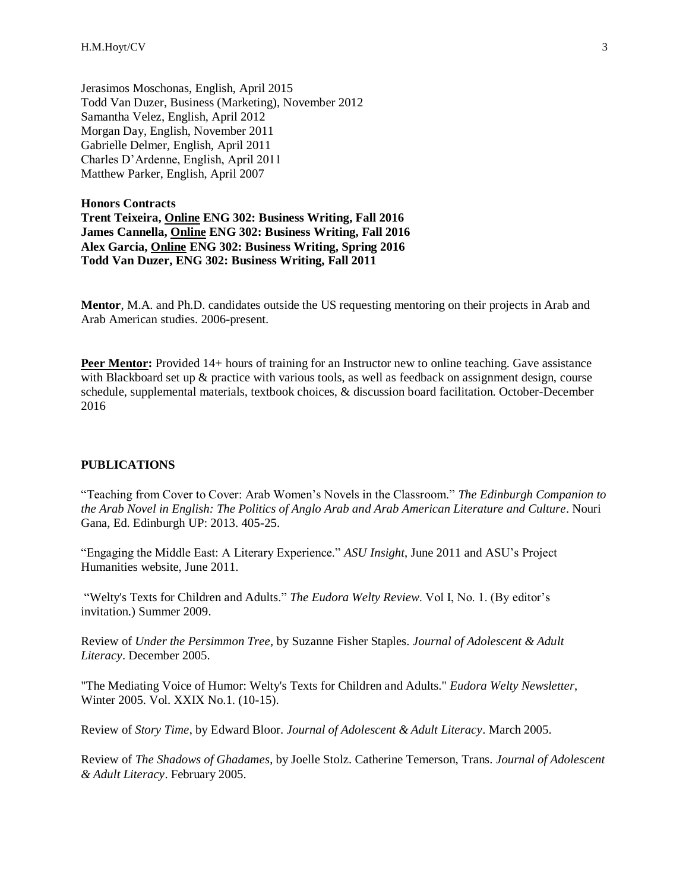Jerasimos Moschonas, English, April 2015 Todd Van Duzer, Business (Marketing), November 2012 Samantha Velez, English, April 2012 Morgan Day, English, November 2011 Gabrielle Delmer, English, April 2011 Charles D'Ardenne, English, April 2011 Matthew Parker, English, April 2007

**Honors Contracts Trent Teixeira, Online ENG 302: Business Writing, Fall 2016 James Cannella, Online ENG 302: Business Writing, Fall 2016 Alex Garcia, Online ENG 302: Business Writing, Spring 2016 Todd Van Duzer, ENG 302: Business Writing, Fall 2011**

**Mentor**, M.A. and Ph.D. candidates outside the US requesting mentoring on their projects in Arab and Arab American studies. 2006-present.

**Peer Mentor:** Provided 14+ hours of training for an Instructor new to online teaching. Gave assistance with Blackboard set up & practice with various tools, as well as feedback on assignment design, course schedule, supplemental materials, textbook choices, & discussion board facilitation. October-December 2016

#### **PUBLICATIONS**

"Teaching from Cover to Cover: Arab Women's Novels in the Classroom." *The Edinburgh Companion to the Arab Novel in English: The Politics of Anglo Arab and Arab American Literature and Culture*. Nouri Gana, Ed. Edinburgh UP: 2013. 405-25.

"Engaging the Middle East: A Literary Experience." *ASU Insight*, June 2011 and ASU's Project Humanities website, June 2011.

"Welty's Texts for Children and Adults." *The Eudora Welty Review*. Vol I, No. 1. (By editor's invitation.) Summer 2009.

Review of *Under the Persimmon Tree*, by Suzanne Fisher Staples. *Journal of Adolescent & Adult Literacy*. December 2005.

"The Mediating Voice of Humor: Welty's Texts for Children and Adults." *Eudora Welty Newsletter*, Winter 2005. Vol. XXIX No.1. (10-15).

Review of *Story Time*, by Edward Bloor. *Journal of Adolescent & Adult Literacy*. March 2005.

Review of *The Shadows of Ghadames*, by Joelle Stolz. Catherine Temerson, Trans. *Journal of Adolescent & Adult Literacy*. February 2005.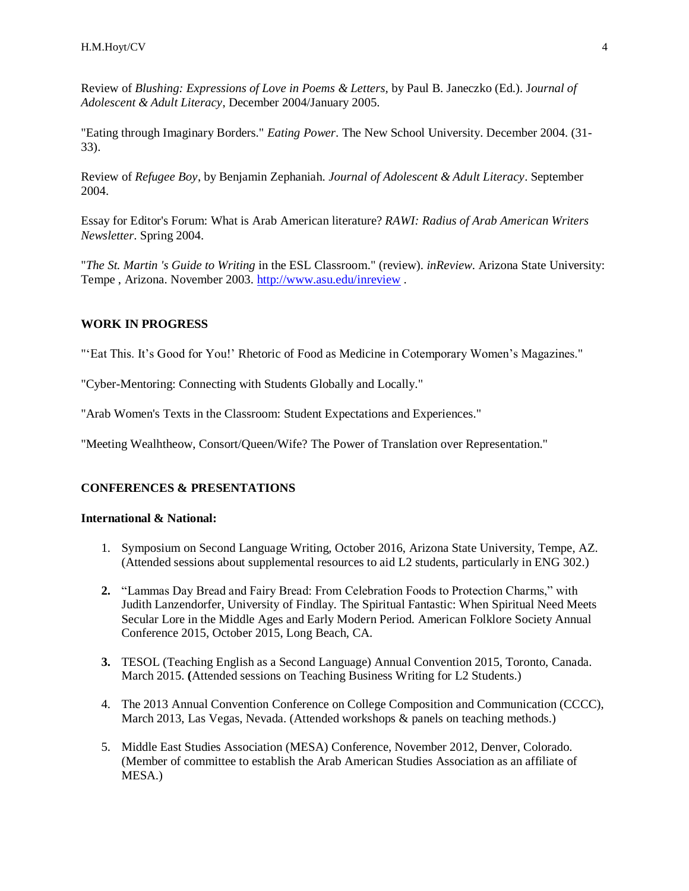Review of *Blushing: Expressions of Love in Poems & Letters,* by Paul B. Janeczko (Ed.). J*ournal of Adolescent & Adult Literacy*, December 2004/January 2005.

"Eating through Imaginary Borders." *Eating Power*. The New School University. December 2004. (31- 33).

Review of *Refugee Boy*, by Benjamin Zephaniah. *Journal of Adolescent & Adult Literacy*. September 2004.

Essay for Editor's Forum: What is Arab American literature? *RAWI: Radius of Arab American Writers Newsletter*. Spring 2004.

"*The St. Martin 's Guide to Writing* in the ESL Classroom." (review). *inReview*. Arizona State University: Tempe , Arizona. November 2003. [http://www.asu.edu/inreview](http://www.public.asu.edu/~hhoyt/%3Cfont%20face=%22Verdana,%20Arial,%20Helvetica,%20sans-serif%22%3Ehttp:/www.asu.edu/inreview%3C/font%3E) .

#### **WORK IN PROGRESS**

"'Eat This. It's Good for You!' Rhetoric of Food as Medicine in Cotemporary Women's Magazines."

"Cyber-Mentoring: Connecting with Students Globally and Locally."

"Arab Women's Texts in the Classroom: Student Expectations and Experiences."

"Meeting Wealhtheow, Consort/Queen/Wife? The Power of Translation over Representation."

#### **CONFERENCES & PRESENTATIONS**

#### **International & National:**

- 1. Symposium on Second Language Writing, October 2016, Arizona State University, Tempe, AZ. (Attended sessions about supplemental resources to aid L2 students, particularly in ENG 302.)
- **2.** "Lammas Day Bread and Fairy Bread: From Celebration Foods to Protection Charms," with Judith Lanzendorfer, University of Findlay. The Spiritual Fantastic: When Spiritual Need Meets Secular Lore in the Middle Ages and Early Modern Period. American Folklore Society Annual Conference 2015, October 2015, Long Beach, CA.
- **3.** TESOL (Teaching English as a Second Language) Annual Convention 2015, Toronto, Canada. March 2015. **(**Attended sessions on Teaching Business Writing for L2 Students.)
- 4. The 2013 Annual Convention Conference on College Composition and Communication (CCCC), March 2013, Las Vegas, Nevada. (Attended workshops & panels on teaching methods.)
- 5. Middle East Studies Association (MESA) Conference, November 2012, Denver, Colorado. (Member of committee to establish the Arab American Studies Association as an affiliate of MESA.)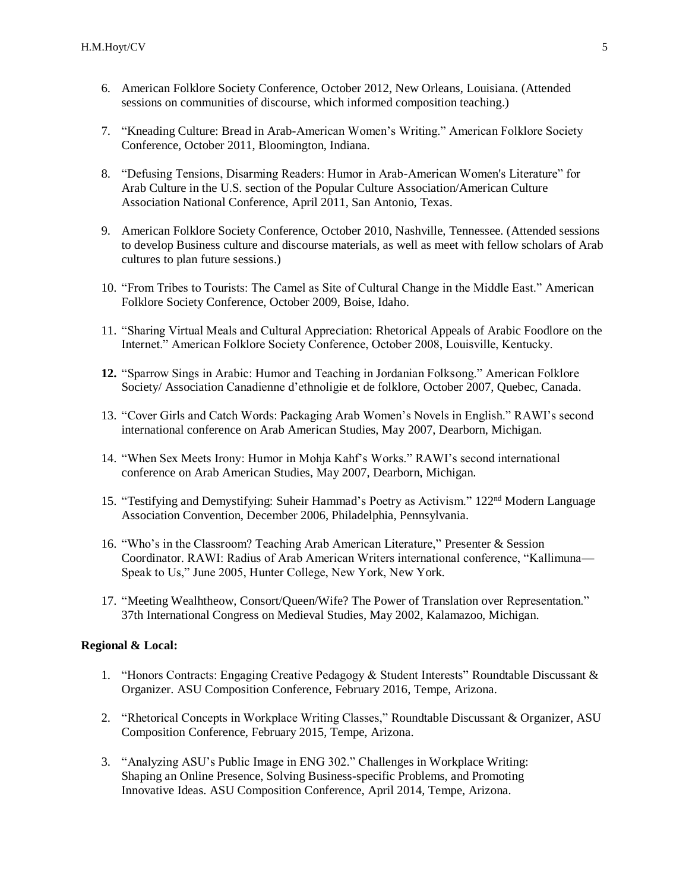- 6. American Folklore Society Conference, October 2012, New Orleans, Louisiana. (Attended sessions on communities of discourse, which informed composition teaching.)
- 7. "Kneading Culture: Bread in Arab-American Women's Writing." American Folklore Society Conference, October 2011, Bloomington, Indiana.
- 8. "Defusing Tensions, Disarming Readers: Humor in Arab-American Women's Literature" for Arab Culture in the U.S. section of the Popular Culture Association/American Culture Association National Conference, April 2011, San Antonio, Texas.
- 9. American Folklore Society Conference, October 2010, Nashville, Tennessee. (Attended sessions to develop Business culture and discourse materials, as well as meet with fellow scholars of Arab cultures to plan future sessions.)
- 10. "From Tribes to Tourists: The Camel as Site of Cultural Change in the Middle East." American Folklore Society Conference, October 2009, Boise, Idaho.
- 11. "Sharing Virtual Meals and Cultural Appreciation: Rhetorical Appeals of Arabic Foodlore on the Internet." American Folklore Society Conference, October 2008, Louisville, Kentucky.
- **12.** "Sparrow Sings in Arabic: Humor and Teaching in Jordanian Folksong." American Folklore Society/ Association Canadienne d'ethnoligie et de folklore, October 2007, Quebec, Canada.
- 13. "Cover Girls and Catch Words: Packaging Arab Women's Novels in English." RAWI's second international conference on Arab American Studies, May 2007, Dearborn, Michigan.
- 14. "When Sex Meets Irony: Humor in Mohja Kahf's Works." RAWI's second international conference on Arab American Studies, May 2007, Dearborn, Michigan.
- 15. "Testifying and Demystifying: Suheir Hammad's Poetry as Activism." 122nd Modern Language Association Convention, December 2006, Philadelphia, Pennsylvania.
- 16. "Who's in the Classroom? Teaching Arab American Literature," Presenter & Session Coordinator. RAWI: Radius of Arab American Writers international conference, "Kallimuna— Speak to Us," June 2005, Hunter College, New York, New York.
- 17. "Meeting Wealhtheow, Consort/Queen/Wife? The Power of Translation over Representation." 37th International Congress on Medieval Studies, May 2002, Kalamazoo, Michigan.

#### **Regional & Local:**

- 1. "Honors Contracts: Engaging Creative Pedagogy & Student Interests" Roundtable Discussant & Organizer. ASU Composition Conference, February 2016, Tempe, Arizona.
- 2. "Rhetorical Concepts in Workplace Writing Classes," Roundtable Discussant & Organizer, ASU Composition Conference, February 2015, Tempe, Arizona.
- 3. "Analyzing ASU's Public Image in ENG 302." Challenges in Workplace Writing: Shaping an Online Presence, Solving Business-specific Problems, and Promoting Innovative Ideas. ASU Composition Conference, April 2014, Tempe, Arizona.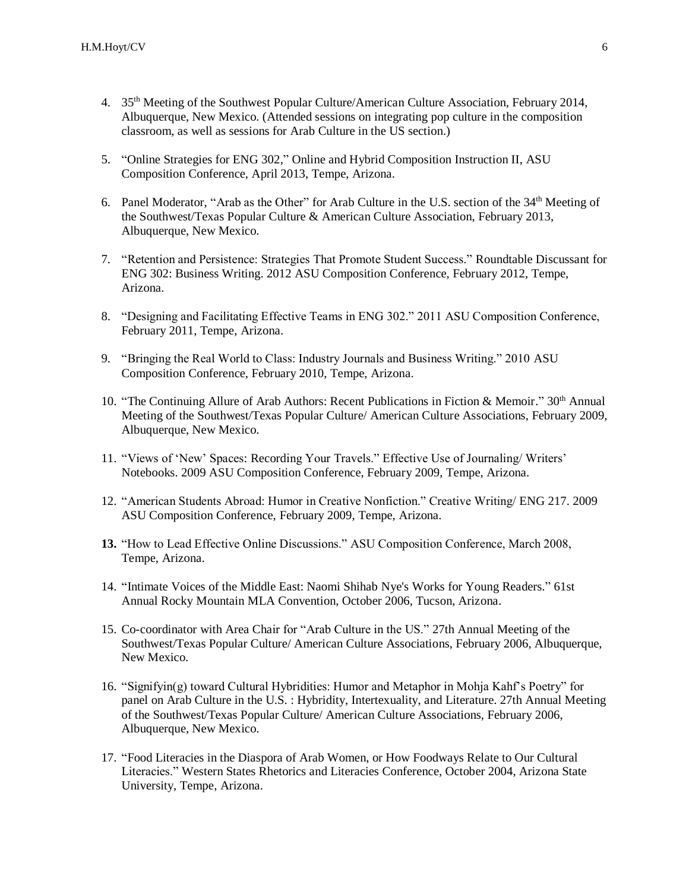- 4. 35th Meeting of the Southwest Popular Culture/American Culture Association, February 2014, Albuquerque, New Mexico. (Attended sessions on integrating pop culture in the composition classroom, as well as sessions for Arab Culture in the US section.)
- 5. "Online Strategies for ENG 302," Online and Hybrid Composition Instruction II, ASU Composition Conference, April 2013, Tempe, Arizona.
- 6. Panel Moderator, "Arab as the Other" for Arab Culture in the U.S. section of the 34<sup>th</sup> Meeting of the Southwest/Texas Popular Culture & American Culture Association, February 2013, Albuquerque, New Mexico.
- 7. "Retention and Persistence: Strategies That Promote Student Success." Roundtable Discussant for ENG 302: Business Writing. 2012 ASU Composition Conference, February 2012, Tempe, Arizona.
- 8. "Designing and Facilitating Effective Teams in ENG 302." 2011 ASU Composition Conference, February 2011, Tempe, Arizona.
- 9. "Bringing the Real World to Class: Industry Journals and Business Writing." 2010 ASU Composition Conference, February 2010, Tempe, Arizona.
- 10. "The Continuing Allure of Arab Authors: Recent Publications in Fiction & Memoir."  $30<sup>th</sup>$  Annual Meeting of the Southwest/Texas Popular Culture/ American Culture Associations, February 2009, Albuquerque, New Mexico.
- 11. "Views of 'New' Spaces: Recording Your Travels." Effective Use of Journaling/ Writers' Notebooks. 2009 ASU Composition Conference, February 2009, Tempe, Arizona.
- 12. "American Students Abroad: Humor in Creative Nonfiction." Creative Writing/ ENG 217. 2009 ASU Composition Conference, February 2009, Tempe, Arizona.
- **13.** "How to Lead Effective Online Discussions." ASU Composition Conference, March 2008, Tempe, Arizona.
- 14. "Intimate Voices of the Middle East: Naomi Shihab Nye's Works for Young Readers." 61st Annual Rocky Mountain MLA Convention, October 2006, Tucson, Arizona.
- 15. Co-coordinator with Area Chair for "Arab Culture in the US." 27th Annual Meeting of the Southwest/Texas Popular Culture/ American Culture Associations, February 2006, Albuquerque, New Mexico.
- 16. "Signifyin(g) toward Cultural Hybridities: Humor and Metaphor in Mohja Kahf's Poetry" for panel on Arab Culture in the U.S. : Hybridity, Intertexuality, and Literature. 27th Annual Meeting of the Southwest/Texas Popular Culture/ American Culture Associations, February 2006, Albuquerque, New Mexico.
- 17. "Food Literacies in the Diaspora of Arab Women, or How Foodways Relate to Our Cultural Literacies." Western States Rhetorics and Literacies Conference, October 2004, Arizona State University, Tempe, Arizona.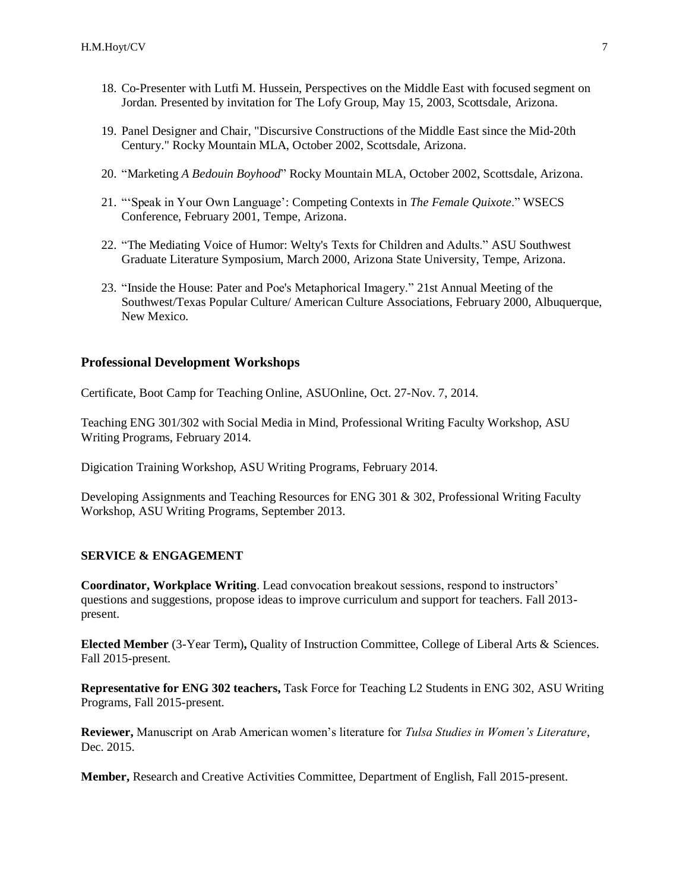- 18. Co-Presenter with Lutfi M. Hussein, Perspectives on the Middle East with focused segment on Jordan. Presented by invitation for The Lofy Group, May 15, 2003, Scottsdale, Arizona.
- 19. Panel Designer and Chair, "Discursive Constructions of the Middle East since the Mid-20th Century." Rocky Mountain MLA, October 2002, Scottsdale, Arizona.
- 20. "Marketing *A Bedouin Boyhood*" Rocky Mountain MLA, October 2002, Scottsdale, Arizona.
- 21. "'Speak in Your Own Language': Competing Contexts in *The Female Quixote*." WSECS Conference, February 2001, Tempe, Arizona.
- 22. "The Mediating Voice of Humor: Welty's Texts for Children and Adults." ASU Southwest Graduate Literature Symposium, March 2000, Arizona State University, Tempe, Arizona.
- 23. "Inside the House: Pater and Poe's Metaphorical Imagery." 21st Annual Meeting of the Southwest/Texas Popular Culture/ American Culture Associations, February 2000, Albuquerque, New Mexico.

#### **Professional Development Workshops**

Certificate, Boot Camp for Teaching Online, ASUOnline, Oct. 27-Nov. 7, 2014.

Teaching ENG 301/302 with Social Media in Mind, Professional Writing Faculty Workshop, ASU Writing Programs, February 2014.

Digication Training Workshop, ASU Writing Programs, February 2014.

Developing Assignments and Teaching Resources for ENG 301 & 302, Professional Writing Faculty Workshop, ASU Writing Programs, September 2013.

#### **SERVICE & ENGAGEMENT**

**Coordinator, Workplace Writing**. Lead convocation breakout sessions, respond to instructors' questions and suggestions, propose ideas to improve curriculum and support for teachers. Fall 2013 present.

**Elected Member** (3-Year Term)**,** Quality of Instruction Committee, College of Liberal Arts & Sciences. Fall 2015-present.

**Representative for ENG 302 teachers,** Task Force for Teaching L2 Students in ENG 302, ASU Writing Programs, Fall 2015-present.

**Reviewer,** Manuscript on Arab American women's literature for *Tulsa Studies in Women's Literature*, Dec. 2015.

**Member,** Research and Creative Activities Committee, Department of English, Fall 2015-present.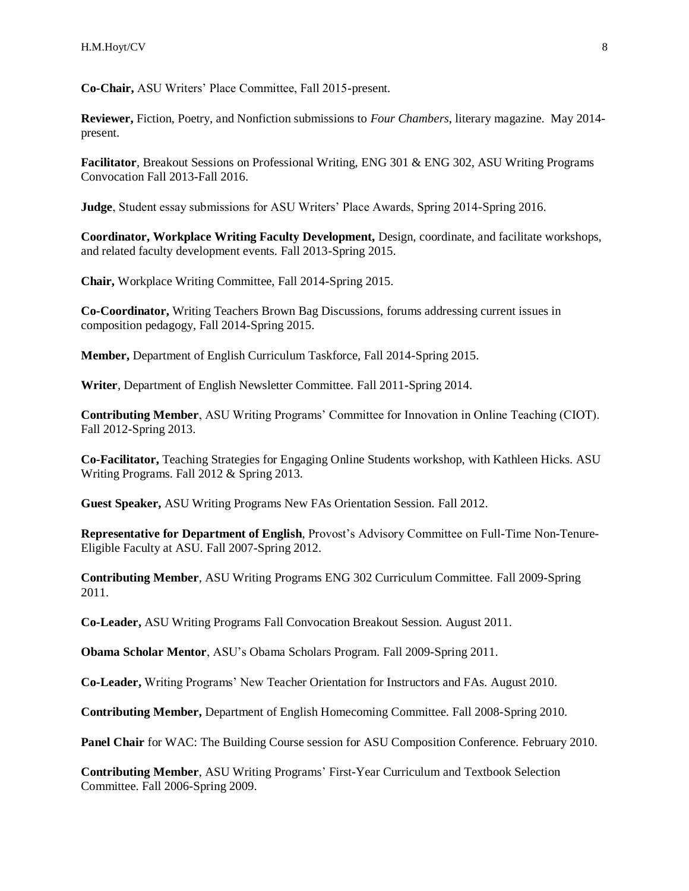**Co-Chair,** ASU Writers' Place Committee, Fall 2015-present.

**Reviewer,** Fiction, Poetry, and Nonfiction submissions to *Four Chambers*, literary magazine. May 2014 present.

**Facilitator**, Breakout Sessions on Professional Writing, ENG 301 & ENG 302, ASU Writing Programs Convocation Fall 2013-Fall 2016.

**Judge**, Student essay submissions for ASU Writers' Place Awards, Spring 2014-Spring 2016.

**Coordinator, Workplace Writing Faculty Development,** Design, coordinate, and facilitate workshops, and related faculty development events. Fall 2013-Spring 2015.

**Chair,** Workplace Writing Committee, Fall 2014-Spring 2015.

**Co-Coordinator,** Writing Teachers Brown Bag Discussions, forums addressing current issues in composition pedagogy, Fall 2014-Spring 2015.

**Member,** Department of English Curriculum Taskforce, Fall 2014-Spring 2015.

**Writer**, Department of English Newsletter Committee. Fall 2011-Spring 2014.

**Contributing Member**, ASU Writing Programs' Committee for Innovation in Online Teaching (CIOT). Fall 2012-Spring 2013.

**Co-Facilitator,** Teaching Strategies for Engaging Online Students workshop, with Kathleen Hicks. ASU Writing Programs. Fall 2012 & Spring 2013.

**Guest Speaker,** ASU Writing Programs New FAs Orientation Session. Fall 2012.

**Representative for Department of English**, Provost's Advisory Committee on Full-Time Non-Tenure-Eligible Faculty at ASU. Fall 2007-Spring 2012.

**Contributing Member**, ASU Writing Programs ENG 302 Curriculum Committee. Fall 2009-Spring 2011.

**Co-Leader,** ASU Writing Programs Fall Convocation Breakout Session. August 2011.

**Obama Scholar Mentor**, ASU's Obama Scholars Program. Fall 2009-Spring 2011.

**Co-Leader,** Writing Programs' New Teacher Orientation for Instructors and FAs. August 2010.

**Contributing Member,** Department of English Homecoming Committee. Fall 2008-Spring 2010.

**Panel Chair** for WAC: The Building Course session for ASU Composition Conference. February 2010.

**Contributing Member**, ASU Writing Programs' First-Year Curriculum and Textbook Selection Committee. Fall 2006-Spring 2009.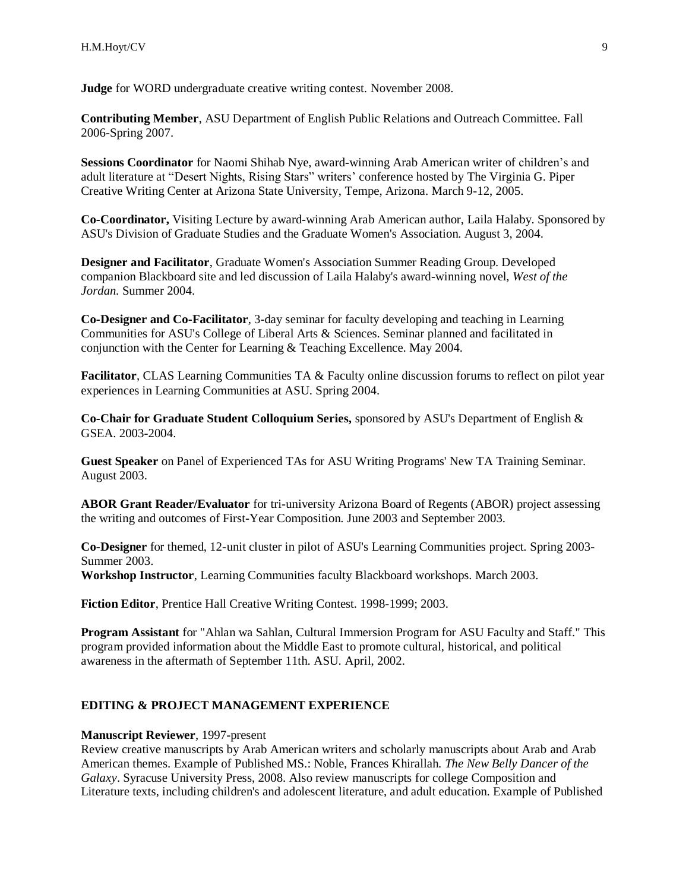**Judge** for WORD undergraduate creative writing contest. November 2008.

**Contributing Member**, ASU Department of English Public Relations and Outreach Committee. Fall 2006-Spring 2007.

**Sessions Coordinator** for Naomi Shihab Nye, award-winning Arab American writer of children's and adult literature at "Desert Nights, Rising Stars" writers' conference hosted by The Virginia G. Piper Creative Writing Center at Arizona State University, Tempe, Arizona. March 9-12, 2005.

**Co-Coordinator,** Visiting Lecture by award-winning Arab American author, Laila Halaby. Sponsored by ASU's Division of Graduate Studies and the Graduate Women's Association. August 3, 2004.

**Designer and Facilitator**, Graduate Women's Association Summer Reading Group. Developed companion Blackboard site and led discussion of Laila Halaby's award-winning novel, *West of the Jordan.* Summer 2004.

**Co-Designer and Co-Facilitator**, 3-day seminar for faculty developing and teaching in Learning Communities for ASU's College of Liberal Arts & Sciences. Seminar planned and facilitated in conjunction with the Center for Learning & Teaching Excellence. May 2004.

**Facilitator**, CLAS Learning Communities TA & Faculty online discussion forums to reflect on pilot year experiences in Learning Communities at ASU. Spring 2004.

**Co-Chair for Graduate Student Colloquium Series,** sponsored by ASU's Department of English & GSEA. 2003-2004.

**Guest Speaker** on Panel of Experienced TAs for ASU Writing Programs' New TA Training Seminar. August 2003.

**ABOR Grant Reader/Evaluator** for tri-university Arizona Board of Regents (ABOR) project assessing the writing and outcomes of First-Year Composition. June 2003 and September 2003.

**Co-Designer** for themed, 12-unit cluster in pilot of ASU's Learning Communities project. Spring 2003- Summer 2003.

**Workshop Instructor**, Learning Communities faculty Blackboard workshops. March 2003.

**Fiction Editor**, Prentice Hall Creative Writing Contest. 1998-1999; 2003.

**Program Assistant** for "Ahlan wa Sahlan, Cultural Immersion Program for ASU Faculty and Staff." This program provided information about the Middle East to promote cultural, historical, and political awareness in the aftermath of September 11th. ASU. April, 2002.

#### **EDITING & PROJECT MANAGEMENT EXPERIENCE**

#### **Manuscript Reviewer**, 1997-present

Review creative manuscripts by Arab American writers and scholarly manuscripts about Arab and Arab American themes. Example of Published MS.: Noble, Frances Khirallah. *The New Belly Dancer of the Galaxy*. Syracuse University Press, 2008. Also review manuscripts for college Composition and Literature texts, including children's and adolescent literature, and adult education. Example of Published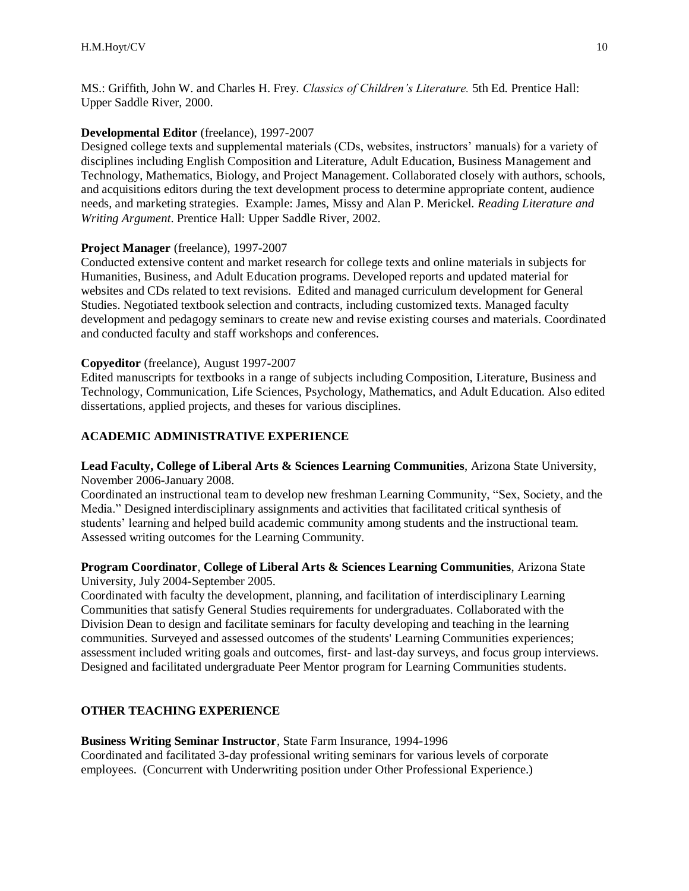MS.: Griffith, John W. and Charles H. Frey. *Classics of Children's Literature.* 5th Ed. Prentice Hall: Upper Saddle River, 2000.

## **Developmental Editor** (freelance), 1997-2007

Designed college texts and supplemental materials (CDs, websites, instructors' manuals) for a variety of disciplines including English Composition and Literature, Adult Education, Business Management and Technology, Mathematics, Biology, and Project Management. Collaborated closely with authors, schools, and acquisitions editors during the text development process to determine appropriate content, audience needs, and marketing strategies. Example: James, Missy and Alan P. Merickel. *Reading Literature and Writing Argument*. Prentice Hall: Upper Saddle River, 2002.

## **Project Manager** (freelance), 1997-2007

Conducted extensive content and market research for college texts and online materials in subjects for Humanities, Business, and Adult Education programs. Developed reports and updated material for websites and CDs related to text revisions. Edited and managed curriculum development for General Studies. Negotiated textbook selection and contracts, including customized texts. Managed faculty development and pedagogy seminars to create new and revise existing courses and materials. Coordinated and conducted faculty and staff workshops and conferences.

#### **Copyeditor** (freelance), August 1997-2007

Edited manuscripts for textbooks in a range of subjects including Composition, Literature, Business and Technology, Communication, Life Sciences, Psychology, Mathematics, and Adult Education. Also edited dissertations, applied projects, and theses for various disciplines.

## **ACADEMIC ADMINISTRATIVE EXPERIENCE**

#### **Lead Faculty, College of Liberal Arts & Sciences Learning Communities**, Arizona State University, November 2006-January 2008.

Coordinated an instructional team to develop new freshman Learning Community, "Sex, Society, and the Media." Designed interdisciplinary assignments and activities that facilitated critical synthesis of students' learning and helped build academic community among students and the instructional team. Assessed writing outcomes for the Learning Community.

#### **Program Coordinator**, **College of Liberal Arts & Sciences Learning Communities**, Arizona State University, July 2004-September 2005.

Coordinated with faculty the development, planning, and facilitation of interdisciplinary Learning Communities that satisfy General Studies requirements for undergraduates. Collaborated with the Division Dean to design and facilitate seminars for faculty developing and teaching in the learning communities. Surveyed and assessed outcomes of the students' Learning Communities experiences; assessment included writing goals and outcomes, first- and last-day surveys, and focus group interviews. Designed and facilitated undergraduate Peer Mentor program for Learning Communities students.

## **OTHER TEACHING EXPERIENCE**

#### **Business Writing Seminar Instructor**, State Farm Insurance, 1994-1996

Coordinated and facilitated 3-day professional writing seminars for various levels of corporate employees. (Concurrent with Underwriting position under Other Professional Experience.)